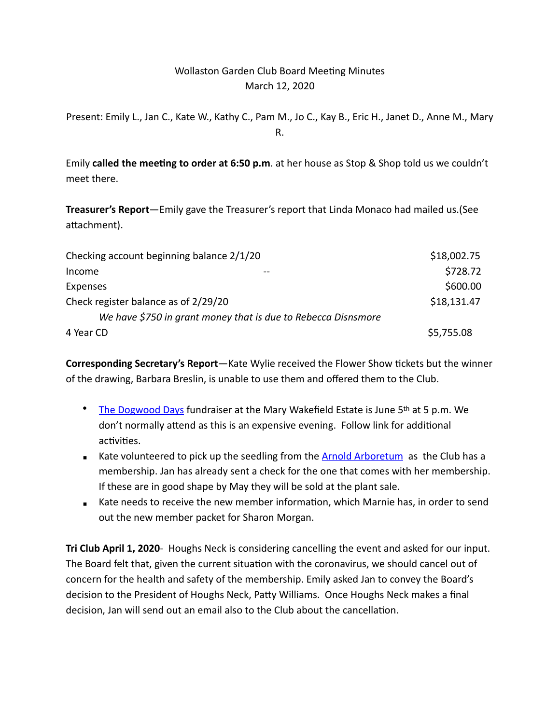# Wollaston Garden Club Board Meeting Minutes March 12, 2020

Present: Emily L., Jan C., Kate W., Kathy C., Pam M., Jo C., Kay B., Eric H., Janet D., Anne M., Mary R.

Emily **called the meeting to order at 6:50 p.m**. at her house as Stop & Shop told us we couldn't meet there.

**Treasurer's Report**—Emily gave the Treasurer's report that Linda Monaco had mailed us.(See attachment).

| Checking account beginning balance 2/1/20                     | \$18,002.75 |
|---------------------------------------------------------------|-------------|
| Income                                                        | \$728.72    |
| Expenses                                                      | \$600.00    |
| Check register balance as of 2/29/20                          | \$18,131.47 |
| We have \$750 in grant money that is due to Rebecca Disnsmore |             |
| 4 Year CD                                                     | \$5,755.08  |

**Corresponding Secretary's Report**—Kate Wylie received the Flower Show tickets but the winner of the drawing, Barbara Breslin, is unable to use them and offered them to the Club.

- [The Dogwood Days](https://wakefieldtrust.org/dogwood-days.html) fundraiser at the Mary Wakefield Estate is June 5<sup>th</sup> at 5 p.m. We don't normally attend as this is an expensive evening. Follow link for additional activities.
- **EXALGE V** Kate volunteered to pick up the seedling from the [Arnold Arboretum](https://www.arboretum.harvard.edu/support/membership/arbor-day-seedling/) as the Club has a membership. Jan has already sent a check for the one that comes with her membership. If these are in good shape by May they will be sold at the plant sale.
- Kate needs to receive the new member information, which Marnie has, in order to send out the new member packet for Sharon Morgan.

**Tri Club April 1, 2020**- Houghs Neck is considering cancelling the event and asked for our input. The Board felt that, given the current situation with the coronavirus, we should cancel out of concern for the health and safety of the membership. Emily asked Jan to convey the Board's decision to the President of Houghs Neck, Patty Williams. Once Houghs Neck makes a final decision, Jan will send out an email also to the Club about the cancellation.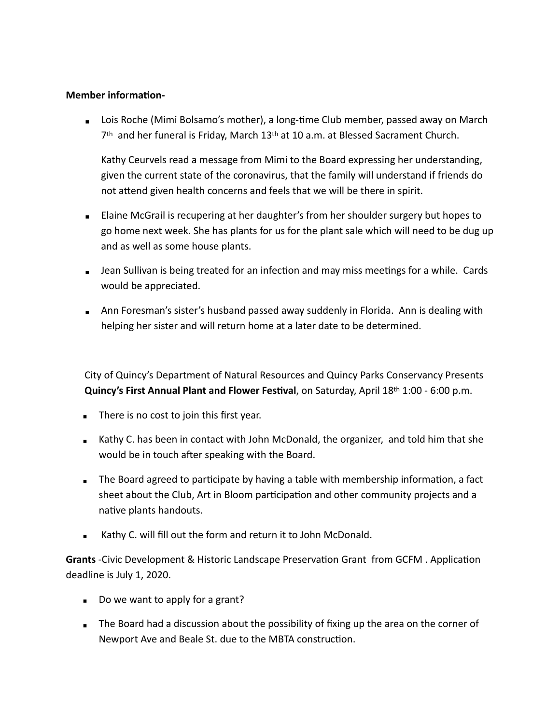#### **Member information-**

■ Lois Roche (Mimi Bolsamo's mother), a long-time Club member, passed away on March 7th and her funeral is Friday, March 13th at 10 a.m. at Blessed Sacrament Church.

Kathy Ceurvels read a message from Mimi to the Board expressing her understanding, given the current state of the coronavirus, that the family will understand if friends do not attend given health concerns and feels that we will be there in spirit.

- Elaine McGrail is recupering at her daughter's from her shoulder surgery but hopes to go home next week. She has plants for us for the plant sale which will need to be dug up and as well as some house plants.
- **EXEDENT IS A** Jean Sullivan is being treated for an infection and may miss meetings for a while. Cards would be appreciated.
- **EXT** Ann Foresman's sister's husband passed away suddenly in Florida. Ann is dealing with helping her sister and will return home at a later date to be determined.

City of Quincy's Department of Natural Resources and Quincy Parks Conservancy Presents **Quincy's First Annual Plant and Flower Festival, on Saturday, April 18th 1:00 - 6:00 p.m.** 

- $\blacksquare$  There is no cost to join this first year.
- **EXA** Kathy C. has been in contact with John McDonald, the organizer, and told him that she would be in touch after speaking with the Board.
- The Board agreed to participate by having a table with membership information, a fact sheet about the Club, Art in Bloom participation and other community projects and a native plants handouts.
- Kathy C. will fill out the form and return it to John McDonald.

**Grants** -Civic Development & Historic Landscape Preservation Grant from GCFM . Application deadline is July 1, 2020.

- $\Box$  Do we want to apply for a grant?
- **EX** The Board had a discussion about the possibility of fixing up the area on the corner of Newport Ave and Beale St. due to the MBTA construction.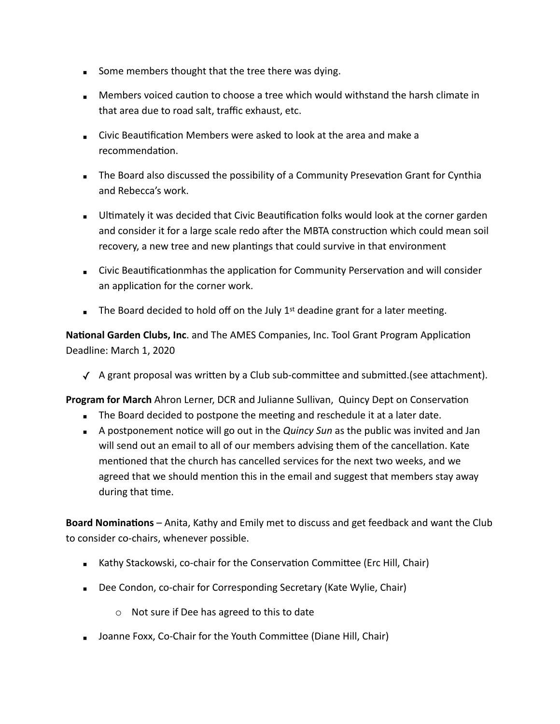- Some members thought that the tree there was dying.
- Members voiced caution to choose a tree which would withstand the harsh climate in that area due to road salt, traffic exhaust, etc.
- Civic Beautification Members were asked to look at the area and make a recommendation.
- **The Board also discussed the possibility of a Community Presevation Grant for Cynthia** and Rebecca's work.
- **E** Ultimately it was decided that Civic Beautification folks would look at the corner garden and consider it for a large scale redo after the MBTA construction which could mean soil recovery, a new tree and new plantings that could survive in that environment
- **EXECT** Civic Beautificationmhas the application for Community Perservation and will consider an application for the corner work.
- **The Board decided to hold off on the July 1st deadine grant for a later meeting.**

National Garden Clubs, Inc. and The AMES Companies, Inc. Tool Grant Program Application Deadline: March 1, 2020

 $\checkmark$  A grant proposal was written by a Club sub-committee and submitted.(see attachment).

**Program for March** Ahron Lerner, DCR and Julianne Sullivan, Quincy Dept on Conservation

- **EXECT** The Board decided to postpone the meeting and reschedule it at a later date.
- **EXTED A postponement notice will go out in the** *Quincy Sun* **as the public was invited and Jan** will send out an email to all of our members advising them of the cancellation. Kate mentioned that the church has cancelled services for the next two weeks, and we agreed that we should mention this in the email and suggest that members stay away during that time.

**Board Nominations** – Anita, Kathy and Emily met to discuss and get feedback and want the Club to consider co-chairs, whenever possible.

- **EXALGO** Kathy Stackowski, co-chair for the Conservation Committee (Erc Hill, Chair)
- Dee Condon, co-chair for Corresponding Secretary (Kate Wylie, Chair)
	- o Not sure if Dee has agreed to this to date
- **EXTEDE FOXX, Co-Chair for the Youth Committee (Diane Hill, Chair)**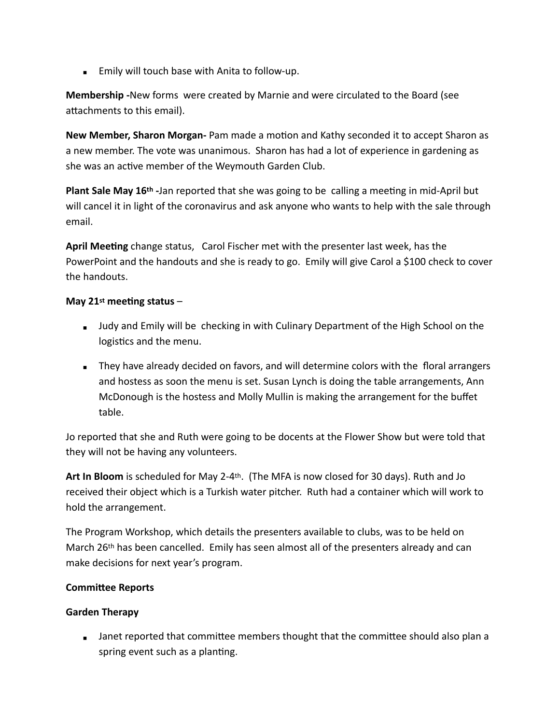**Emily will touch base with Anita to follow-up.** 

**Membership -**New forms were created by Marnie and were circulated to the Board (see attachments to this email).

New Member, Sharon Morgan- Pam made a motion and Kathy seconded it to accept Sharon as a new member. The vote was unanimous. Sharon has had a lot of experience in gardening as she was an active member of the Weymouth Garden Club.

**Plant Sale May 16th -Jan reported that she was going to be calling a meeting in mid-April but** will cancel it in light of the coronavirus and ask anyone who wants to help with the sale through email.

April Meeting change status, Carol Fischer met with the presenter last week, has the PowerPoint and the handouts and she is ready to go. Emily will give Carol a \$100 check to cover the handouts.

#### May  $21^{st}$  meeting status –

- **■** Judy and Emily will be checking in with Culinary Department of the High School on the logistics and the menu.
- **EX** They have already decided on favors, and will determine colors with the floral arrangers and hostess as soon the menu is set. Susan Lynch is doing the table arrangements, Ann McDonough is the hostess and Molly Mullin is making the arrangement for the buffet table.

Jo reported that she and Ruth were going to be docents at the Flower Show but were told that they will not be having any volunteers.

**Art In Bloom** is scheduled for May 2-4th. (The MFA is now closed for 30 days). Ruth and Jo received their object which is a Turkish water pitcher. Ruth had a container which will work to hold the arrangement.

The Program Workshop, which details the presenters available to clubs, was to be held on March 26th has been cancelled. Emily has seen almost all of the presenters already and can make decisions for next year's program.

## **Committee Reports**

## **Garden Therapy**

■ Janet reported that committee members thought that the committee should also plan a spring event such as a planting.